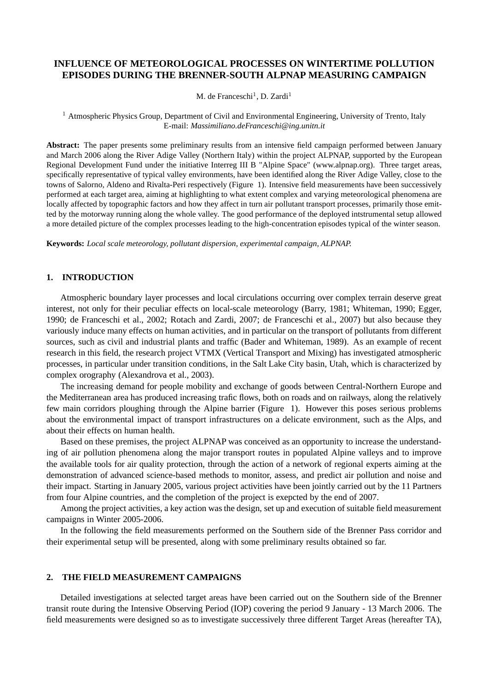# **INFLUENCE OF METEOROLOGICAL PROCESSES ON WINTERTIME POLLUTION EPISODES DURING THE BRENNER-SOUTH ALPNAP MEASURING CAMPAIGN**

M. de Franceschi<sup>1</sup>, D. Zardi<sup>1</sup>

<sup>1</sup> Atmospheric Physics Group, Department of Civil and Environmental Engineering, University of Trento, Italy E-mail: *Massimiliano.deFranceschi@ing.unitn.it*

**Abstract:** The paper presents some preliminary results from an intensive field campaign performed between January and March 2006 along the River Adige Valley (Northern Italy) within the project ALPNAP, supported by the European Regional Development Fund under the initiative Interreg III B "Alpine Space" (www.alpnap.org). Three target areas, specifically representative of typical valley environments, have been identified along the River Adige Valley, close to the towns of Salorno, Aldeno and Rivalta-Peri respectively (Figure 1). Intensive field measurements have been successively performed at each target area, aiming at highlighting to what extent complex and varying meteorological phenomena are locally affected by topographic factors and how they affect in turn air pollutant transport processes, primarily those emitted by the motorway running along the whole valley. The good performance of the deployed intstrumental setup allowed a more detailed picture of the complex processes leading to the high-concentration episodes typical of the winter season.

**Keywords:** *Local scale meteorology, pollutant dispersion, experimental campaign, ALPNAP.*

## **1. INTRODUCTION**

Atmospheric boundary layer processes and local circulations occurring over complex terrain deserve great interest, not only for their peculiar effects on local-scale meteorology (Barry, 1981; Whiteman, 1990; Egger, 1990; de Franceschi et al., 2002; Rotach and Zardi, 2007; de Franceschi et al., 2007) but also because they variously induce many effects on human activities, and in particular on the transport of pollutants from different sources, such as civil and industrial plants and traffic (Bader and Whiteman, 1989). As an example of recent research in this field, the research project VTMX (Vertical Transport and Mixing) has investigated atmospheric processes, in particular under transition conditions, in the Salt Lake City basin, Utah, which is characterized by complex orography (Alexandrova et al., 2003).

The increasing demand for people mobility and exchange of goods between Central-Northern Europe and the Mediterranean area has produced increasing trafic flows, both on roads and on railways, along the relatively few main corridors ploughing through the Alpine barrier (Figure 1). However this poses serious problems about the environmental impact of transport infrastructures on a delicate environment, such as the Alps, and about their effects on human health.

Based on these premises, the project ALPNAP was conceived as an opportunity to increase the understanding of air pollution phenomena along the major transport routes in populated Alpine valleys and to improve the available tools for air quality protection, through the action of a network of regional experts aiming at the demonstration of advanced science-based methods to monitor, assess, and predict air pollution and noise and their impact. Starting in January 2005, various project activities have been jointly carried out by the 11 Partners from four Alpine countries, and the completion of the project is exepcted by the end of 2007.

Among the project activities, a key action was the design, set up and execution of suitable field measurement campaigns in Winter 2005-2006.

In the following the field measurements performed on the Southern side of the Brenner Pass corridor and their experimental setup will be presented, along with some preliminary results obtained so far.

## **2. THE FIELD MEASUREMENT CAMPAIGNS**

Detailed investigations at selected target areas have been carried out on the Southern side of the Brenner transit route during the Intensive Observing Period (IOP) covering the period 9 January - 13 March 2006. The field measurements were designed so as to investigate successively three different Target Areas (hereafter TA),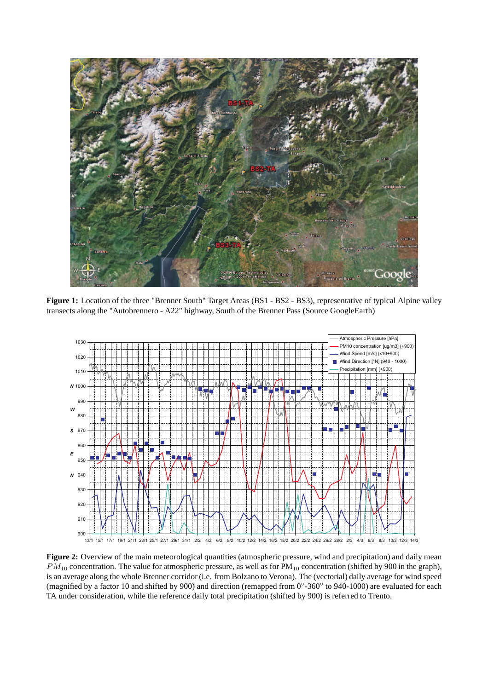

**Figure 1:** Location of the three "Brenner South" Target Areas (BS1 - BS2 - BS3), representative of typical Alpine valley transects along the "Autobrennero - A22" highway, South of the Brenner Pass (Source GoogleEarth)



**Figure 2:** Overview of the main meteorological quantities (atmospheric pressure, wind and precipitation) and daily mean  $PM_{10}$  concentration. The value for atmospheric pressure, as well as for  $PM_{10}$  concentration (shifted by 900 in the graph), is an average along the whole Brenner corridor (i.e. from Bolzano to Verona). The (vectorial) daily average for wind speed (magnified by a factor 10 and shifted by 900) and direction (remapped from 0◦ -360◦ to 940-1000) are evaluated for each TA under consideration, while the reference daily total precipitation (shifted by 900) is referred to Trento.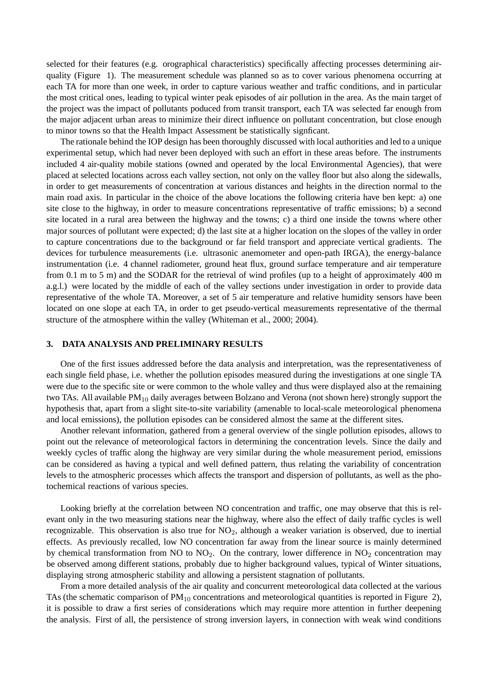selected for their features (e.g. orographical characteristics) specifically affecting processes determining airquality (Figure 1). The measurement schedule was planned so as to cover various phenomena occurring at each TA for more than one week, in order to capture various weather and traffic conditions, and in particular the most critical ones, leading to typical winter peak episodes of air pollution in the area. As the main target of the project was the impact of pollutants poduced from transit transport, each TA was selected far enough from the major adjacent urban areas to minimize their direct influence on pollutant concentration, but close enough to minor towns so that the Health Impact Assessment be statistically signficant.

The rationale behind the IOP design has been thoroughly discussed with local authorities and led to a unique experimental setup, which had never been deployed with such an effort in these areas before. The instruments included 4 air-quality mobile stations (owned and operated by the local Environmental Agencies), that were placed at selected locations across each valley section, not only on the valley floor but also along the sidewalls, in order to get measurements of concentration at various distances and heights in the direction normal to the main road axis. In particular in the choice of the above locations the following criteria have ben kept: a) one site close to the highway, in order to measure concentrations representative of traffic emissions; b) a second site located in a rural area between the highway and the towns; c) a third one inside the towns where other major sources of pollutant were expected; d) the last site at a higher location on the slopes of the valley in order to capture concentrations due to the background or far field transport and appreciate vertical gradients. The devices for turbulence measurements (i.e. ultrasonic anemometer and open-path IRGA), the energy-balance instrumentation (i.e. 4 channel radiometer, ground heat flux, ground surface temperature and air temperature from 0.1 m to 5 m) and the SODAR for the retrieval of wind profiles (up to a height of approximately 400 m a.g.l.) were located by the middle of each of the valley sections under investigation in order to provide data representative of the whole TA. Moreover, a set of 5 air temperature and relative humidity sensors have been located on one slope at each TA, in order to get pseudo-vertical measurements representative of the thermal structure of the atmosphere within the valley (Whiteman et al., 2000; 2004).

#### **3. DATA ANALYSIS AND PRELIMINARY RESULTS**

One of the first issues addressed before the data analysis and interpretation, was the representativeness of each single field phase, i.e. whether the pollution episodes measured during the investigations at one single TA were due to the specific site or were common to the whole valley and thus were displayed also at the remaining two TAs. All available  $PM_{10}$  daily averages between Bolzano and Verona (not shown here) strongly support the hypothesis that, apart from a slight site-to-site variability (amenable to local-scale meteorological phenomena and local emissions), the pollution episodes can be considered almost the same at the different sites.

Another relevant information, gathered from a general overview of the single pollution episodes, allows to point out the relevance of meteorological factors in determining the concentration levels. Since the daily and weekly cycles of traffic along the highway are very similar during the whole measurement period, emissions can be considered as having a typical and well defined pattern, thus relating the variability of concentration levels to the atmospheric processes which affects the transport and dispersion of pollutants, as well as the photochemical reactions of various species.

Looking briefly at the correlation between NO concentration and traffic, one may observe that this is relevant only in the two measuring stations near the highway, where also the effect of daily traffic cycles is well recognizable. This observation is also true for  $NO<sub>2</sub>$ , although a weaker variation is observed, due to inertial effects. As previously recalled, low NO concentration far away from the linear source is mainly determined by chemical transformation from NO to  $NO<sub>2</sub>$ . On the contrary, lower difference in  $NO<sub>2</sub>$  concentration may be observed among different stations, probably due to higher background values, typical of Winter situations, displaying strong atmospheric stability and allowing a persistent stagnation of pollutants.

From a more detailed analysis of the air quality and concurrent meteorological data collected at the various TAs (the schematic comparison of  $PM_{10}$  concentrations and meteorological quantities is reported in Figure 2), it is possible to draw a first series of considerations which may require more attention in further deepening the analysis. First of all, the persistence of strong inversion layers, in connection with weak wind conditions